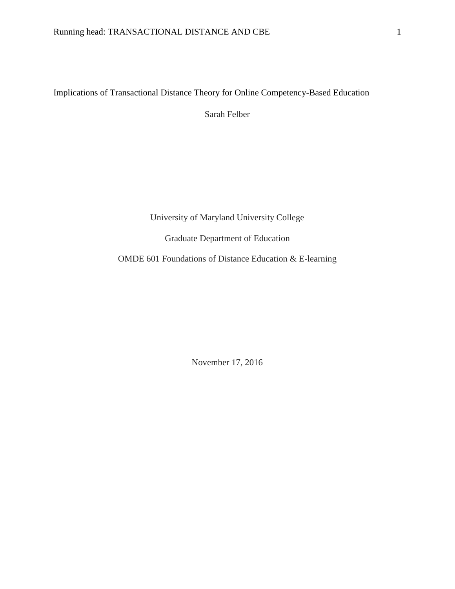# Implications of Transactional Distance Theory for Online Competency-Based Education

Sarah Felber

University of Maryland University College

Graduate Department of Education

OMDE 601 Foundations of Distance Education & E-learning

November 17, 2016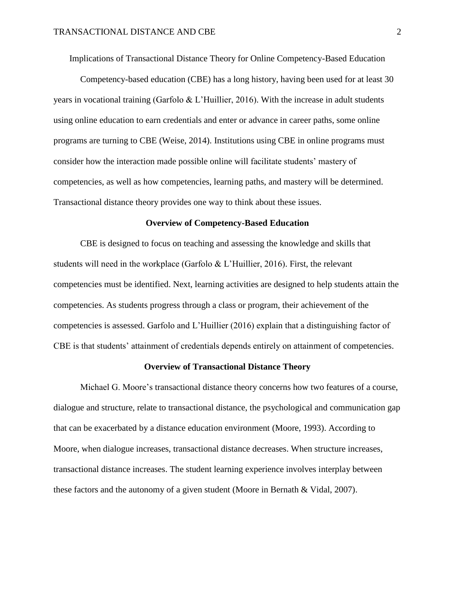Implications of Transactional Distance Theory for Online Competency-Based Education

Competency-based education (CBE) has a long history, having been used for at least 30 years in vocational training (Garfolo & L'Huillier, 2016). With the increase in adult students using online education to earn credentials and enter or advance in career paths, some online programs are turning to CBE (Weise, 2014). Institutions using CBE in online programs must consider how the interaction made possible online will facilitate students' mastery of competencies, as well as how competencies, learning paths, and mastery will be determined. Transactional distance theory provides one way to think about these issues.

#### **Overview of Competency-Based Education**

CBE is designed to focus on teaching and assessing the knowledge and skills that students will need in the workplace (Garfolo & L'Huillier, 2016). First, the relevant competencies must be identified. Next, learning activities are designed to help students attain the competencies. As students progress through a class or program, their achievement of the competencies is assessed. Garfolo and L'Huillier (2016) explain that a distinguishing factor of CBE is that students' attainment of credentials depends entirely on attainment of competencies.

#### **Overview of Transactional Distance Theory**

Michael G. Moore's transactional distance theory concerns how two features of a course, dialogue and structure, relate to transactional distance, the psychological and communication gap that can be exacerbated by a distance education environment (Moore, 1993). According to Moore, when dialogue increases, transactional distance decreases. When structure increases, transactional distance increases. The student learning experience involves interplay between these factors and the autonomy of a given student (Moore in Bernath & Vidal, 2007).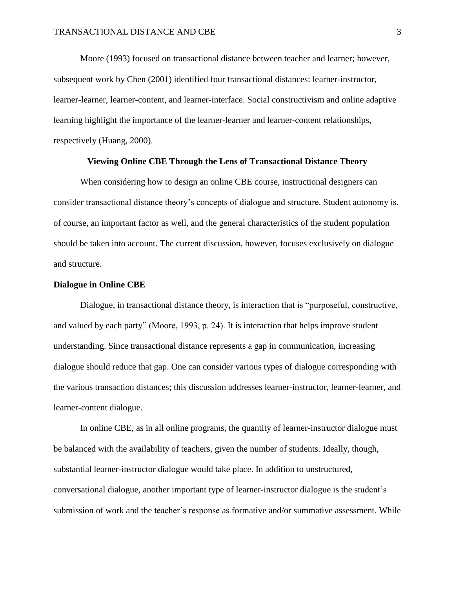Moore (1993) focused on transactional distance between teacher and learner; however, subsequent work by Chen (2001) identified four transactional distances: learner-instructor, learner-learner, learner-content, and learner-interface. Social constructivism and online adaptive learning highlight the importance of the learner-learner and learner-content relationships, respectively (Huang, 2000).

## **Viewing Online CBE Through the Lens of Transactional Distance Theory**

When considering how to design an online CBE course, instructional designers can consider transactional distance theory's concepts of dialogue and structure. Student autonomy is, of course, an important factor as well, and the general characteristics of the student population should be taken into account. The current discussion, however, focuses exclusively on dialogue and structure.

#### **Dialogue in Online CBE**

Dialogue, in transactional distance theory, is interaction that is "purposeful, constructive, and valued by each party" (Moore, 1993, p. 24). It is interaction that helps improve student understanding. Since transactional distance represents a gap in communication, increasing dialogue should reduce that gap. One can consider various types of dialogue corresponding with the various transaction distances; this discussion addresses learner-instructor, learner-learner, and learner-content dialogue.

In online CBE, as in all online programs, the quantity of learner-instructor dialogue must be balanced with the availability of teachers, given the number of students. Ideally, though, substantial learner-instructor dialogue would take place. In addition to unstructured, conversational dialogue, another important type of learner-instructor dialogue is the student's submission of work and the teacher's response as formative and/or summative assessment. While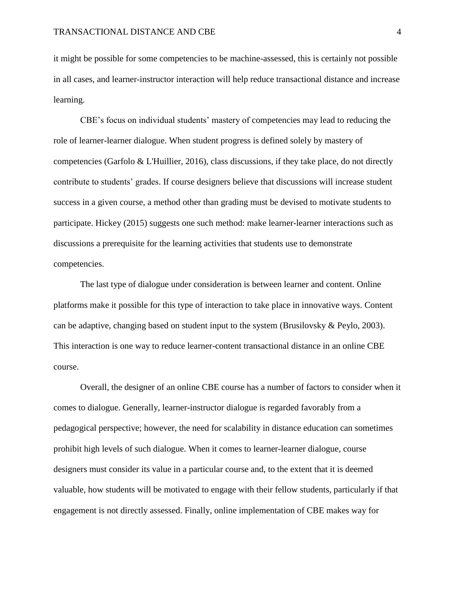it might be possible for some competencies to be machine-assessed, this is certainly not possible in all cases, and learner-instructor interaction will help reduce transactional distance and increase learning.

CBE's focus on individual students' mastery of competencies may lead to reducing the role of learner-learner dialogue. When student progress is defined solely by mastery of competencies (Garfolo & L'Huillier, 2016), class discussions, if they take place, do not directly contribute to students' grades. If course designers believe that discussions will increase student success in a given course, a method other than grading must be devised to motivate students to participate. Hickey (2015) suggests one such method: make learner-learner interactions such as discussions a prerequisite for the learning activities that students use to demonstrate competencies.

The last type of dialogue under consideration is between learner and content. Online platforms make it possible for this type of interaction to take place in innovative ways. Content can be adaptive, changing based on student input to the system (Brusilovsky  $\&$  Peylo, 2003). This interaction is one way to reduce learner-content transactional distance in an online CBE course.

Overall, the designer of an online CBE course has a number of factors to consider when it comes to dialogue. Generally, learner-instructor dialogue is regarded favorably from a pedagogical perspective; however, the need for scalability in distance education can sometimes prohibit high levels of such dialogue. When it comes to learner-learner dialogue, course designers must consider its value in a particular course and, to the extent that it is deemed valuable, how students will be motivated to engage with their fellow students, particularly if that engagement is not directly assessed. Finally, online implementation of CBE makes way for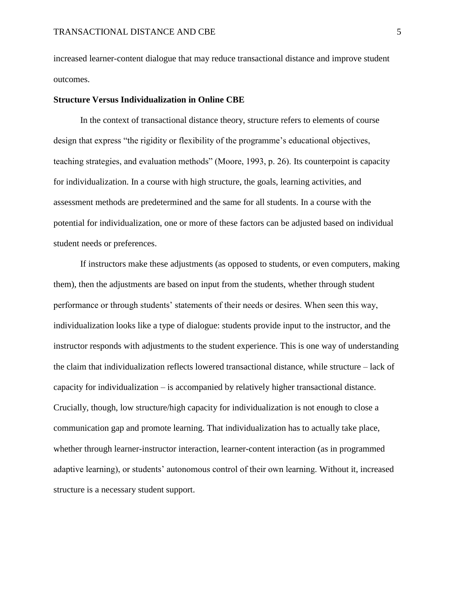increased learner-content dialogue that may reduce transactional distance and improve student outcomes.

### **Structure Versus Individualization in Online CBE**

In the context of transactional distance theory, structure refers to elements of course design that express "the rigidity or flexibility of the programme's educational objectives, teaching strategies, and evaluation methods" (Moore, 1993, p. 26). Its counterpoint is capacity for individualization. In a course with high structure, the goals, learning activities, and assessment methods are predetermined and the same for all students. In a course with the potential for individualization, one or more of these factors can be adjusted based on individual student needs or preferences.

If instructors make these adjustments (as opposed to students, or even computers, making them), then the adjustments are based on input from the students, whether through student performance or through students' statements of their needs or desires. When seen this way, individualization looks like a type of dialogue: students provide input to the instructor, and the instructor responds with adjustments to the student experience. This is one way of understanding the claim that individualization reflects lowered transactional distance, while structure – lack of capacity for individualization – is accompanied by relatively higher transactional distance. Crucially, though, low structure/high capacity for individualization is not enough to close a communication gap and promote learning. That individualization has to actually take place, whether through learner-instructor interaction, learner-content interaction (as in programmed adaptive learning), or students' autonomous control of their own learning. Without it, increased structure is a necessary student support.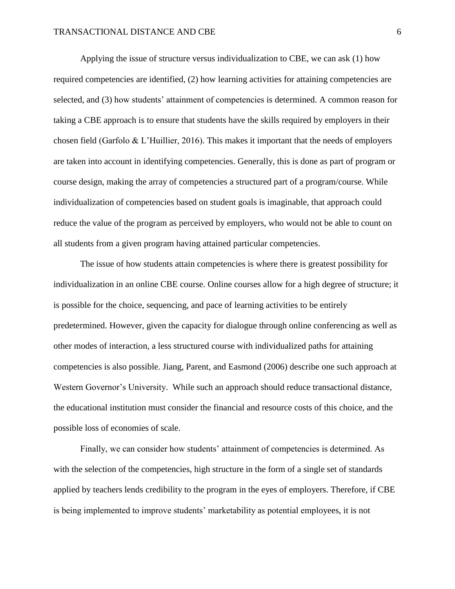Applying the issue of structure versus individualization to CBE, we can ask (1) how required competencies are identified, (2) how learning activities for attaining competencies are selected, and (3) how students' attainment of competencies is determined. A common reason for taking a CBE approach is to ensure that students have the skills required by employers in their chosen field (Garfolo & L'Huillier, 2016). This makes it important that the needs of employers are taken into account in identifying competencies. Generally, this is done as part of program or course design, making the array of competencies a structured part of a program/course. While individualization of competencies based on student goals is imaginable, that approach could reduce the value of the program as perceived by employers, who would not be able to count on all students from a given program having attained particular competencies.

The issue of how students attain competencies is where there is greatest possibility for individualization in an online CBE course. Online courses allow for a high degree of structure; it is possible for the choice, sequencing, and pace of learning activities to be entirely predetermined. However, given the capacity for dialogue through online conferencing as well as other modes of interaction, a less structured course with individualized paths for attaining competencies is also possible. Jiang, Parent, and Easmond (2006) describe one such approach at Western Governor's University. While such an approach should reduce transactional distance, the educational institution must consider the financial and resource costs of this choice, and the possible loss of economies of scale.

Finally, we can consider how students' attainment of competencies is determined. As with the selection of the competencies, high structure in the form of a single set of standards applied by teachers lends credibility to the program in the eyes of employers. Therefore, if CBE is being implemented to improve students' marketability as potential employees, it is not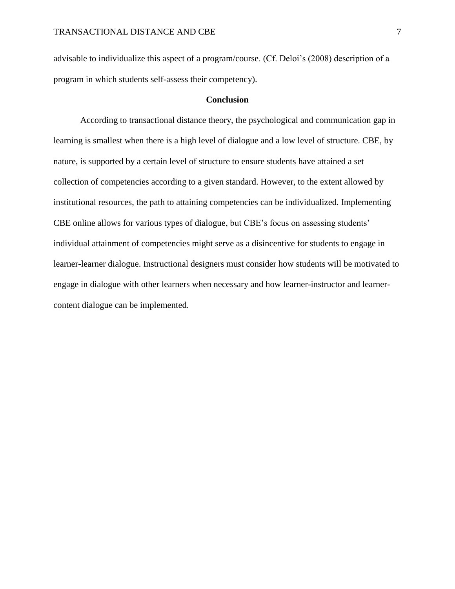advisable to individualize this aspect of a program/course. (Cf. Deloi's (2008) description of a program in which students self-assess their competency).

## **Conclusion**

According to transactional distance theory, the psychological and communication gap in learning is smallest when there is a high level of dialogue and a low level of structure. CBE, by nature, is supported by a certain level of structure to ensure students have attained a set collection of competencies according to a given standard. However, to the extent allowed by institutional resources, the path to attaining competencies can be individualized. Implementing CBE online allows for various types of dialogue, but CBE's focus on assessing students' individual attainment of competencies might serve as a disincentive for students to engage in learner-learner dialogue. Instructional designers must consider how students will be motivated to engage in dialogue with other learners when necessary and how learner-instructor and learnercontent dialogue can be implemented.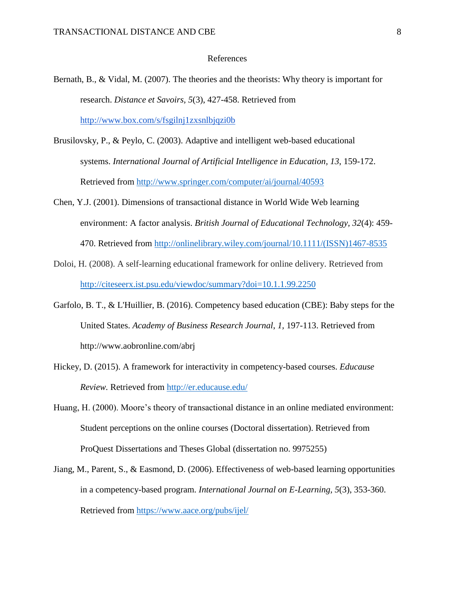#### References

- Bernath, B., & Vidal, M. (2007). The theories and the theorists: Why theory is important for research. *Distance et Savoirs, 5*(3), 427-458. Retrieved from <http://www.box.com/s/fsgilnj1zxsnlbjqzi0b>
- Brusilovsky, P., & Peylo, C. (2003). Adaptive and intelligent web-based educational systems. *International Journal of Artificial Intelligence in Education, 13*, 159-172. Retrieved from<http://www.springer.com/computer/ai/journal/40593>
- Chen, Y.J. (2001). Dimensions of transactional distance in World Wide Web learning environment: A factor analysis. *British Journal of Educational Technology, 32*(4): 459- 470. Retrieved from [http://onlinelibrary.wiley.com/journal/10.1111/\(ISSN\)1467-8535](http://onlinelibrary.wiley.com/journal/10.1111/(ISSN)1467-8535)
- Doloi, H. (2008). A self-learning educational framework for online delivery. Retrieved from <http://citeseerx.ist.psu.edu/viewdoc/summary?doi=10.1.1.99.2250>
- Garfolo, B. T., & L'Huillier, B. (2016). Competency based education (CBE): Baby steps for the United States. *Academy of Business Research Journal*, *1,* 197-113. Retrieved from http://www.aobronline.com/abrj
- Hickey, D. (2015). A framework for interactivity in competency-based courses. *Educause Review.* Retrieved from<http://er.educause.edu/>
- Huang, H. (2000). Moore's theory of transactional distance in an online mediated environment: Student perceptions on the online courses (Doctoral dissertation). Retrieved from ProQuest Dissertations and Theses Global (dissertation no. 9975255)
- Jiang, M., Parent, S., & Easmond, D. (2006). Effectiveness of web-based learning opportunities in a competency-based program. *International Journal on E-Learning, 5*(3), 353-360. Retrieved from<https://www.aace.org/pubs/ijel/>